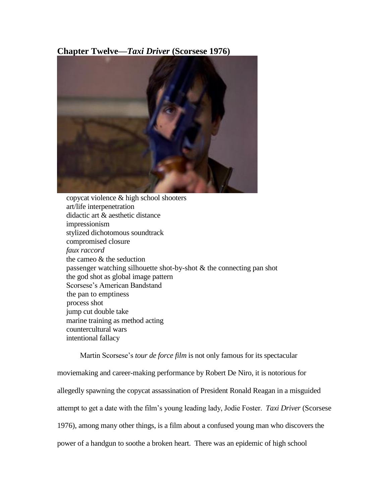**Chapter Twelve—***Taxi Driver* **(Scorsese 1976)**



copycat violence & high school shooters art/life interpenetration didactic art & aesthetic distance impressionism stylized dichotomous soundtrack compromised closure *faux raccord* the cameo & the seduction passenger watching silhouette shot-by-shot & the connecting pan shot the god shot as global image pattern Scorsese's American Bandstand the pan to emptiness process shot jump cut double take marine training as method acting countercultural wars intentional fallacy

Martin Scorsese's *tour de force film* is not only famous for its spectacular moviemaking and career-making performance by Robert De Niro, it is notorious for allegedly spawning the copycat assassination of President Ronald Reagan in a misguided attempt to get a date with the film's young leading lady, Jodie Foster. *Taxi Driver* (Scorsese 1976), among many other things, is a film about a confused young man who discovers the power of a handgun to soothe a broken heart. There was an epidemic of high school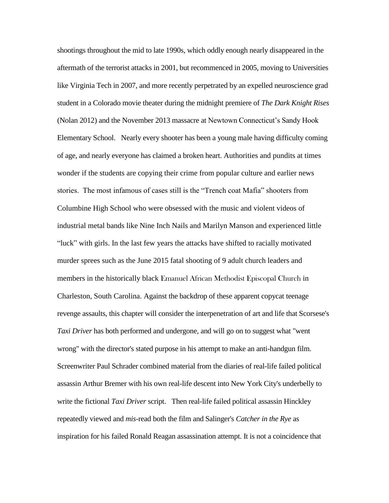shootings throughout the mid to late 1990s, which oddly enough nearly disappeared in the aftermath of the terrorist attacks in 2001, but recommenced in 2005, moving to Universities like Virginia Tech in 2007, and more recently perpetrated by an expelled neuroscience grad student in a Colorado movie theater during the midnight premiere of *The Dark Knight Rises* (Nolan 2012) and the November 2013 massacre at Newtown Connecticut's Sandy Hook Elementary School. Nearly every shooter has been a young male having difficulty coming of age, and nearly everyone has claimed a broken heart. Authorities and pundits at times wonder if the students are copying their crime from popular culture and earlier news stories. The most infamous of cases still is the "Trench coat Mafia" shooters from Columbine High School who were obsessed with the music and violent videos of industrial metal bands like Nine Inch Nails and Marilyn Manson and experienced little "luck" with girls. In the last few years the attacks have shifted to racially motivated murder sprees such as the June 2015 fatal shooting of 9 adult church leaders and members in the historically black Emanuel African Methodist Episcopal Church in Charleston, South Carolina. Against the backdrop of these apparent copycat teenage revenge assaults, this chapter will consider the interpenetration of art and life that Scorsese's *Taxi Driver* has both performed and undergone, and will go on to suggest what "went wrong" with the director's stated purpose in his attempt to make an anti-handgun film. Screenwriter Paul Schrader combined material from the diaries of real-life failed political assassin Arthur Bremer with his own real-life descent into New York City's underbelly to write the fictional *Taxi Driver* script. Then real-life failed political assassin Hinckley repeatedly viewed and *mis*-read both the film and Salinger's *Catcher in the Rye* as inspiration for his failed Ronald Reagan assassination attempt. It is not a coincidence that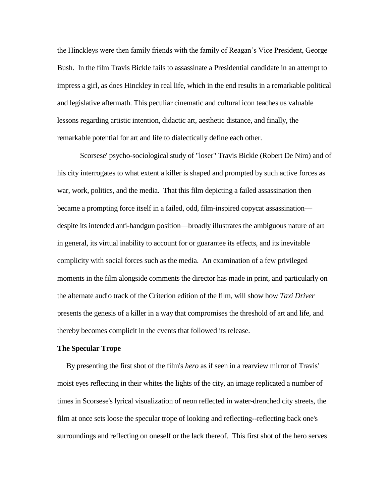the Hinckleys were then family friends with the family of Reagan's Vice President, George Bush. In the film Travis Bickle fails to assassinate a Presidential candidate in an attempt to impress a girl, as does Hinckley in real life, which in the end results in a remarkable political and legislative aftermath. This peculiar cinematic and cultural icon teaches us valuable lessons regarding artistic intention, didactic art, aesthetic distance, and finally, the remarkable potential for art and life to dialectically define each other.

Scorsese' psycho-sociological study of "loser" Travis Bickle (Robert De Niro) and of his city interrogates to what extent a killer is shaped and prompted by such active forces as war, work, politics, and the media. That this film depicting a failed assassination then became a prompting force itself in a failed, odd, film-inspired copycat assassination despite its intended anti-handgun position—broadly illustrates the ambiguous nature of art in general, its virtual inability to account for or guarantee its effects, and its inevitable complicity with social forces such as the media. An examination of a few privileged moments in the film alongside comments the director has made in print, and particularly on the alternate audio track of the Criterion edition of the film, will show how *Taxi Driver* presents the genesis of a killer in a way that compromises the threshold of art and life, and thereby becomes complicit in the events that followed its release.

### **The Specular Trope**

 By presenting the first shot of the film's *hero* as if seen in a rearview mirror of Travis' moist eyes reflecting in their whites the lights of the city, an image replicated a number of times in Scorsese's lyrical visualization of neon reflected in water-drenched city streets, the film at once sets loose the specular trope of looking and reflecting--reflecting back one's surroundings and reflecting on oneself or the lack thereof. This first shot of the hero serves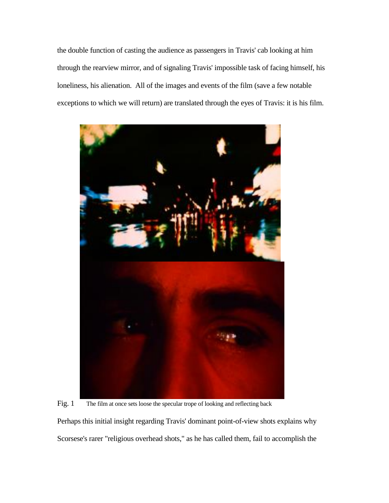the double function of casting the audience as passengers in Travis' cab looking at him through the rearview mirror, and of signaling Travis' impossible task of facing himself, his loneliness, his alienation. All of the images and events of the film (save a few notable exceptions to which we will return) are translated through the eyes of Travis: it is his film.



Fig. 1 The film at once sets loose the specular trope of looking and reflecting back

Perhaps this initial insight regarding Travis' dominant point-of-view shots explains why Scorsese's rarer "religious overhead shots," as he has called them, fail to accomplish the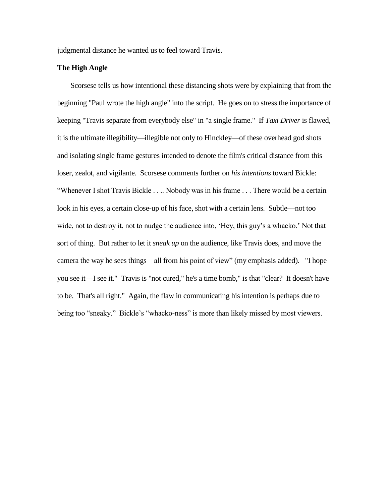judgmental distance he wanted us to feel toward Travis.

## **The High Angle**

Scorsese tells us how intentional these distancing shots were by explaining that from the beginning "Paul wrote the high angle" into the script. He goes on to stress the importance of keeping "Travis separate from everybody else" in "a single frame." If *Taxi Driver* is flawed, it is the ultimate illegibility—illegible not only to Hinckley—of these overhead god shots and isolating single frame gestures intended to denote the film's critical distance from this loser, zealot, and vigilante. Scorsese comments further on *his intentions* toward Bickle: "Whenever I shot Travis Bickle . . .. Nobody was in his frame . . . There would be a certain look in his eyes, a certain close-up of his face, shot with a certain lens. Subtle—not too wide, not to destroy it, not to nudge the audience into, 'Hey, this guy's a whacko.' Not that sort of thing. But rather to let it *sneak up* on the audience, like Travis does, and move the camera the way he sees things—all from his point of view" (my emphasis added). "I hope you see it—I see it." Travis is "not cured," he's a time bomb," is that "clear? It doesn't have to be. That's all right." Again, the flaw in communicating his intention is perhaps due to being too "sneaky." Bickle's "whacko-ness" is more than likely missed by most viewers.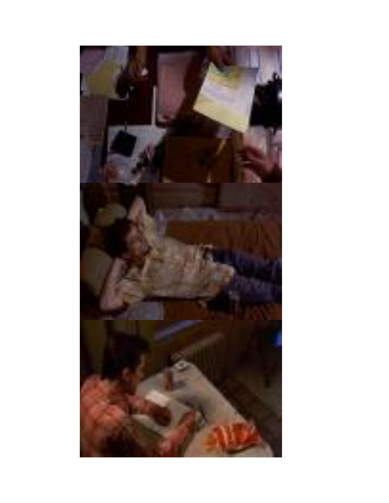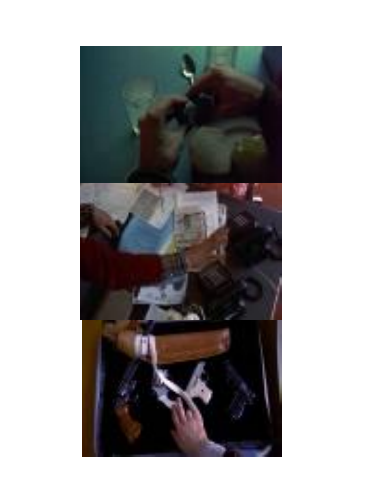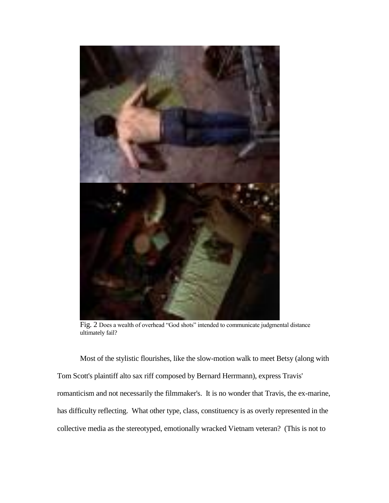

Fig. 2 Does a wealth of overhead "God shots" intended to communicate judgmental distance ultimately fail?

Most of the stylistic flourishes, like the slow-motion walk to meet Betsy (along with Tom Scott's plaintiff alto sax riff composed by Bernard Herrmann), express Travis' romanticism and not necessarily the filmmaker's. It is no wonder that Travis, the ex-marine, has difficulty reflecting. What other type, class, constituency is as overly represented in the collective media as the stereotyped, emotionally wracked Vietnam veteran? (This is not to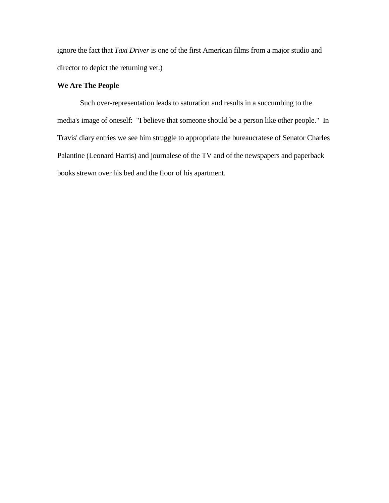ignore the fact that *Taxi Driver* is one of the first American films from a major studio and director to depict the returning vet.)

# **We Are The People**

Such over-representation leads to saturation and results in a succumbing to the media's image of oneself: "I believe that someone should be a person like other people." In Travis' diary entries we see him struggle to appropriate the bureaucratese of Senator Charles Palantine (Leonard Harris) and journalese of the TV and of the newspapers and paperback books strewn over his bed and the floor of his apartment.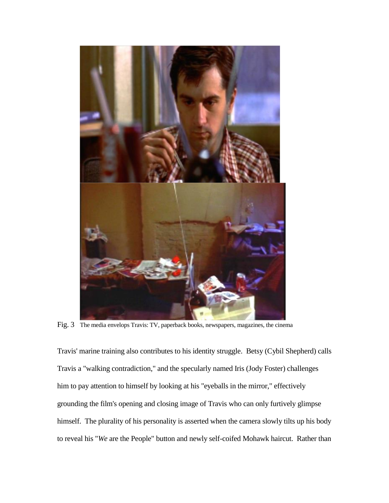

Fig. 3 The media envelops Travis: TV, paperback books, newspapers, magazines, the cinema

Travis' marine training also contributes to his identity struggle. Betsy (Cybil Shepherd) calls Travis a "walking contradiction," and the specularly named Iris (Jody Foster) challenges him to pay attention to himself by looking at his "eyeballs in the mirror," effectively grounding the film's opening and closing image of Travis who can only furtively glimpse himself. The plurality of his personality is asserted when the camera slowly tilts up his body to reveal his "*We* are the People" button and newly self-coifed Mohawk haircut. Rather than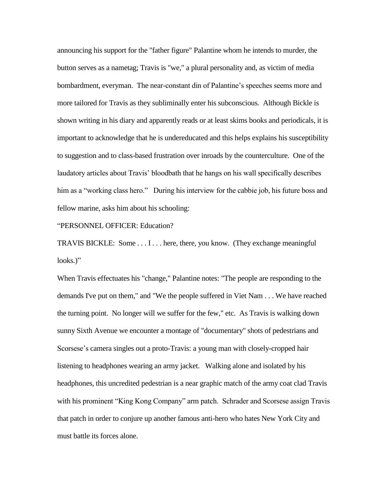announcing his support for the "father figure" Palantine whom he intends to murder, the button serves as a nametag; Travis is "we," a plural personality and, as victim of media bombardment, everyman. The near-constant din of Palantine's speeches seems more and more tailored for Travis as they subliminally enter his subconscious. Although Bickle is shown writing in his diary and apparently reads or at least skims books and periodicals, it is important to acknowledge that he is undereducated and this helps explains his susceptibility to suggestion and to class-based frustration over inroads by the counterculture. One of the laudatory articles about Travis' bloodbath that he hangs on his wall specifically describes him as a "working class hero." During his interview for the cabbie job, his future boss and fellow marine, asks him about his schooling:

#### "PERSONNEL OFFICER: Education?

TRAVIS BICKLE: Some . . . I . . . here, there, you know. (They exchange meaningful looks.)"

When Travis effectuates his "change," Palantine notes: "The people are responding to the demands I've put on them," and "We the people suffered in Viet Nam . . . We have reached the turning point. No longer will we suffer for the few," etc. As Travis is walking down sunny Sixth Avenue we encounter a montage of "documentary" shots of pedestrians and Scorsese's camera singles out a proto-Travis: a young man with closely-cropped hair listening to headphones wearing an army jacket. Walking alone and isolated by his headphones, this uncredited pedestrian is a near graphic match of the army coat clad Travis with his prominent "King Kong Company" arm patch. Schrader and Scorsese assign Travis that patch in order to conjure up another famous anti-hero who hates New York City and must battle its forces alone.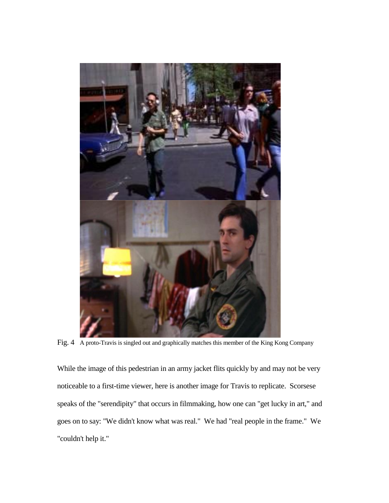

Fig. 4 A proto-Travis is singled out and graphically matches this member of the King Kong Company

While the image of this pedestrian in an army jacket flits quickly by and may not be very noticeable to a first-time viewer, here is another image for Travis to replicate. Scorsese speaks of the "serendipity" that occurs in filmmaking, how one can "get lucky in art," and goes on to say: "We didn't know what was real." We had "real people in the frame." We "couldn't help it."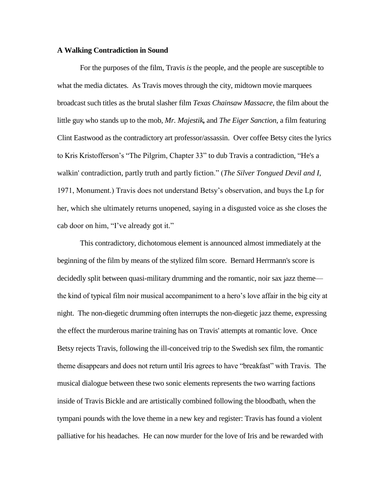#### **A Walking Contradiction in Sound**

For the purposes of the film, Travis *is* the people, and the people are susceptible to what the media dictates. As Travis moves through the city, midtown movie marquees broadcast such titles as the brutal slasher film *Texas Chainsaw Massacre*, the film about the little guy who stands up to the mob, *Mr. Majestik,* and *The Eiger Sanction*, a film featuring Clint Eastwood as the contradictory art professor/assassin. Over coffee Betsy cites the lyrics to Kris Kristofferson's "The Pilgrim, Chapter 33" to dub Travis a contradiction, "He's a walkin' contradiction, partly truth and partly fiction." (*The Silver Tongued Devil and I*, 1971, Monument.) Travis does not understand Betsy's observation, and buys the Lp for her, which she ultimately returns unopened, saying in a disgusted voice as she closes the cab door on him, "I've already got it."

This contradictory, dichotomous element is announced almost immediately at the beginning of the film by means of the stylized film score. Bernard Herrmann's score is decidedly split between quasi-military drumming and the romantic, noir sax jazz theme the kind of typical film noir musical accompaniment to a hero's love affair in the big city at night. The non-diegetic drumming often interrupts the non-diegetic jazz theme, expressing the effect the murderous marine training has on Travis' attempts at romantic love. Once Betsy rejects Travis, following the ill-conceived trip to the Swedish sex film, the romantic theme disappears and does not return until Iris agrees to have "breakfast" with Travis. The musical dialogue between these two sonic elements represents the two warring factions inside of Travis Bickle and are artistically combined following the bloodbath, when the tympani pounds with the love theme in a new key and register: Travis has found a violent palliative for his headaches. He can now murder for the love of Iris and be rewarded with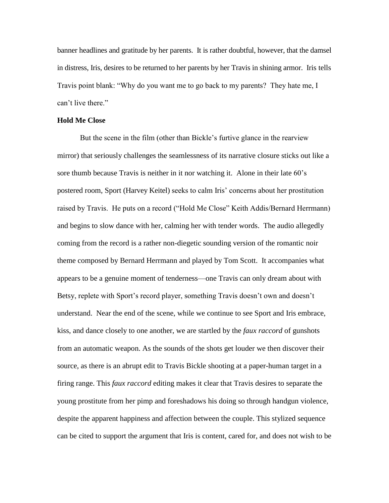banner headlines and gratitude by her parents. It is rather doubtful, however, that the damsel in distress, Iris, desires to be returned to her parents by her Travis in shining armor. Iris tells Travis point blank: "Why do you want me to go back to my parents? They hate me, I can't live there."

## **Hold Me Close**

But the scene in the film (other than Bickle's furtive glance in the rearview mirror) that seriously challenges the seamlessness of its narrative closure sticks out like a sore thumb because Travis is neither in it nor watching it. Alone in their late 60's postered room, Sport (Harvey Keitel) seeks to calm Iris' concerns about her prostitution raised by Travis. He puts on a record ("Hold Me Close" Keith Addis/Bernard Herrmann) and begins to slow dance with her, calming her with tender words. The audio allegedly coming from the record is a rather non-diegetic sounding version of the romantic noir theme composed by Bernard Herrmann and played by Tom Scott. It accompanies what appears to be a genuine moment of tenderness—one Travis can only dream about with Betsy, replete with Sport's record player, something Travis doesn't own and doesn't understand. Near the end of the scene, while we continue to see Sport and Iris embrace, kiss, and dance closely to one another, we are startled by the *faux raccord* of gunshots from an automatic weapon. As the sounds of the shots get louder we then discover their source, as there is an abrupt edit to Travis Bickle shooting at a paper-human target in a firing range. This *faux raccord* editing makes it clear that Travis desires to separate the young prostitute from her pimp and foreshadows his doing so through handgun violence, despite the apparent happiness and affection between the couple. This stylized sequence can be cited to support the argument that Iris is content, cared for, and does not wish to be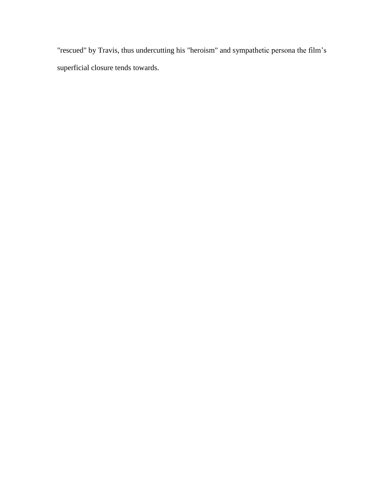"rescued" by Travis, thus undercutting his "heroism" and sympathetic persona the film's superficial closure tends towards.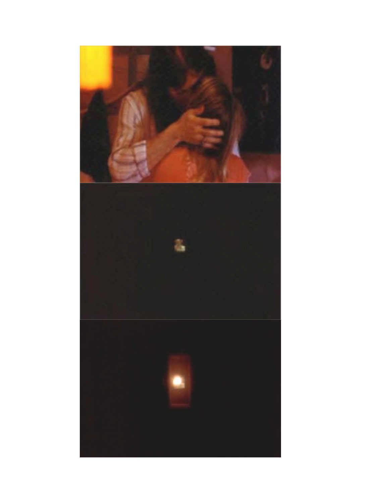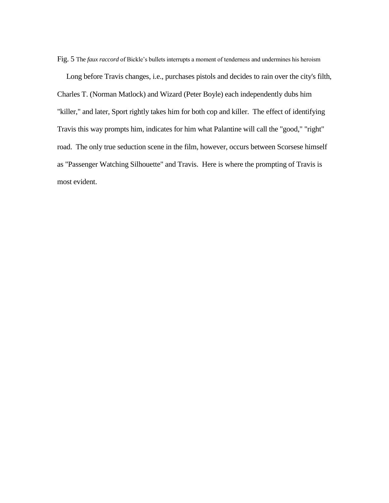Fig. 5 The *faux raccord* of Bickle's bullets interrupts a moment of tenderness and undermines his heroism

 Long before Travis changes, i.e., purchases pistols and decides to rain over the city's filth, Charles T. (Norman Matlock) and Wizard (Peter Boyle) each independently dubs him "killer," and later, Sport rightly takes him for both cop and killer. The effect of identifying Travis this way prompts him, indicates for him what Palantine will call the "good," "right" road. The only true seduction scene in the film, however, occurs between Scorsese himself as "Passenger Watching Silhouette" and Travis. Here is where the prompting of Travis is most evident.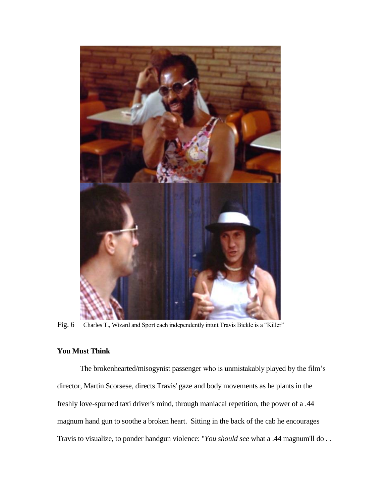

Fig. 6 Charles T., Wizard and Sport each independently intuit Travis Bickle is a "Killer"

# **You Must Think**

The brokenhearted/misogynist passenger who is unmistakably played by the film's director, Martin Scorsese, directs Travis' gaze and body movements as he plants in the freshly love-spurned taxi driver's mind, through maniacal repetition, the power of a .44 magnum hand gun to soothe a broken heart. Sitting in the back of the cab he encourages Travis to visualize, to ponder handgun violence: "*You should see* what a .44 magnum'll do . .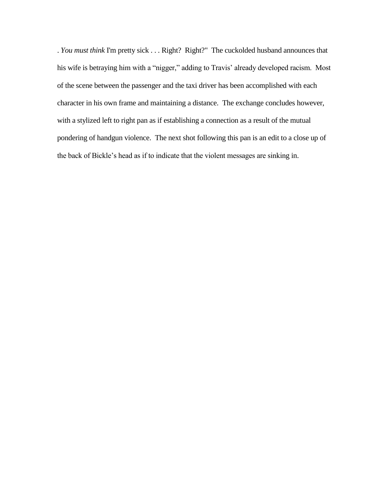. *You must think* I'm pretty sick . . . Right? Right?" The cuckolded husband announces that his wife is betraying him with a "nigger," adding to Travis' already developed racism. Most of the scene between the passenger and the taxi driver has been accomplished with each character in his own frame and maintaining a distance. The exchange concludes however, with a stylized left to right pan as if establishing a connection as a result of the mutual pondering of handgun violence. The next shot following this pan is an edit to a close up of the back of Bickle's head as if to indicate that the violent messages are sinking in.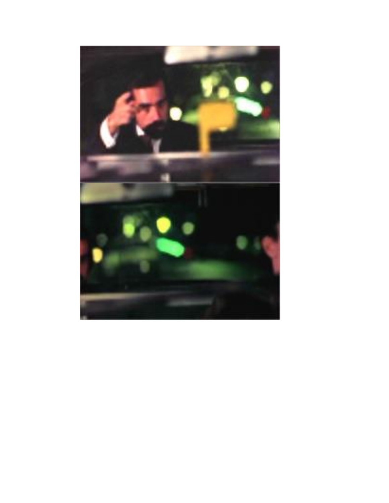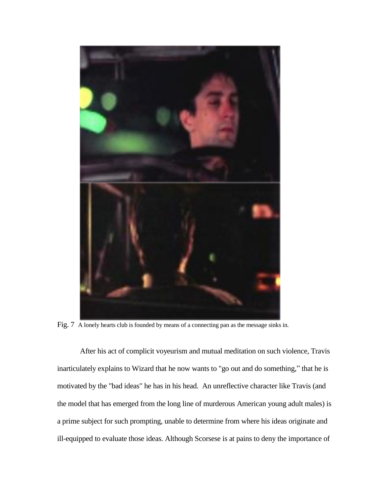

Fig. 7 A lonely hearts club is founded by means of a connecting pan as the message sinks in.

After his act of complicit voyeurism and mutual meditation on such violence, Travis inarticulately explains to Wizard that he now wants to "go out and do something," that he is motivated by the "bad ideas" he has in his head. An unreflective character like Travis (and the model that has emerged from the long line of murderous American young adult males) is a prime subject for such prompting, unable to determine from where his ideas originate and ill-equipped to evaluate those ideas. Although Scorsese is at pains to deny the importance of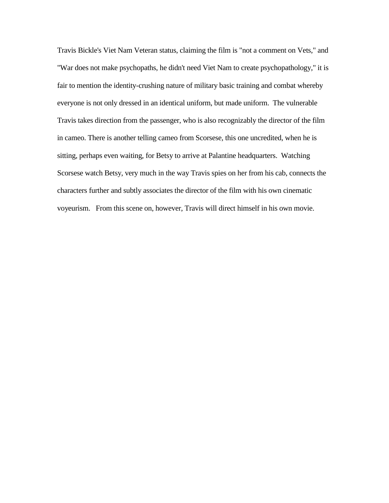Travis Bickle's Viet Nam Veteran status, claiming the film is "not a comment on Vets," and "War does not make psychopaths, he didn't need Viet Nam to create psychopathology," it is fair to mention the identity-crushing nature of military basic training and combat whereby everyone is not only dressed in an identical uniform, but made uniform. The vulnerable Travis takes direction from the passenger, who is also recognizably the director of the film in cameo. There is another telling cameo from Scorsese, this one uncredited, when he is sitting, perhaps even waiting, for Betsy to arrive at Palantine headquarters. Watching Scorsese watch Betsy, very much in the way Travis spies on her from his cab, connects the characters further and subtly associates the director of the film with his own cinematic voyeurism. From this scene on, however, Travis will direct himself in his own movie.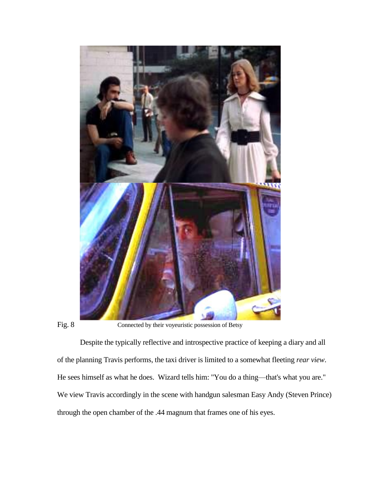

Fig. 8 Connected by their voyeuristic possession of Betsy

Despite the typically reflective and introspective practice of keeping a diary and all of the planning Travis performs, the taxi driver is limited to a somewhat fleeting *rear view*. He sees himself as what he does. Wizard tells him: "You do a thing—that's what you are." We view Travis accordingly in the scene with handgun salesman Easy Andy (Steven Prince) through the open chamber of the .44 magnum that frames one of his eyes.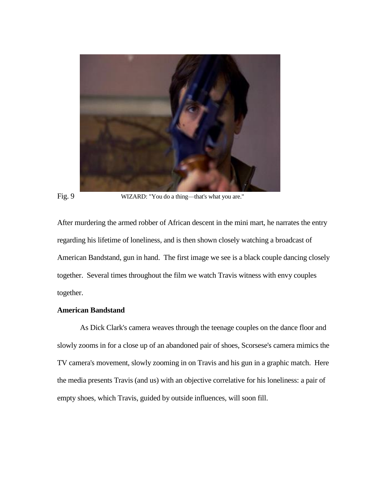

Fig. 9 WIZARD: "You do a thing—that's what you are."

After murdering the armed robber of African descent in the mini mart, he narrates the entry regarding his lifetime of loneliness, and is then shown closely watching a broadcast of American Bandstand, gun in hand. The first image we see is a black couple dancing closely together. Several times throughout the film we watch Travis witness with envy couples together.

# **American Bandstand**

As Dick Clark's camera weaves through the teenage couples on the dance floor and slowly zooms in for a close up of an abandoned pair of shoes, Scorsese's camera mimics the TV camera's movement, slowly zooming in on Travis and his gun in a graphic match. Here the media presents Travis (and us) with an objective correlative for his loneliness: a pair of empty shoes, which Travis, guided by outside influences, will soon fill.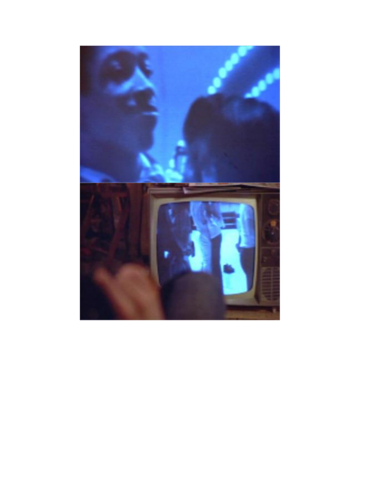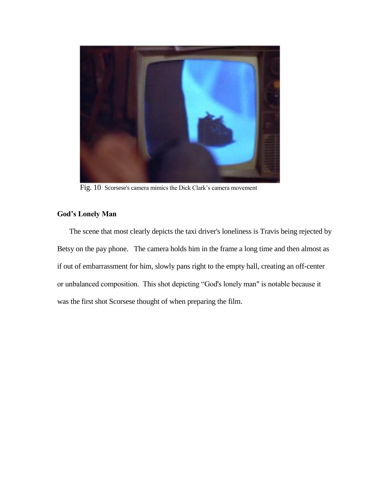

Fig. 10 Scorsese's camera mimics the Dick Clark's camera movement

## **God's Lonely Man**

The scene that most clearly depicts the taxi driver's loneliness is Travis being rejected by Betsy on the pay phone. The camera holds him in the frame a long time and then almost as if out of embarrassment for him, slowly pans right to the empty hall, creating an off-center or unbalanced composition. This shot depicting "God's lonely man" is notable because it was the first shot Scorsese thought of when preparing the film.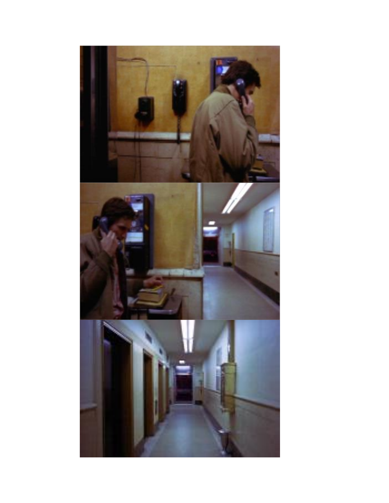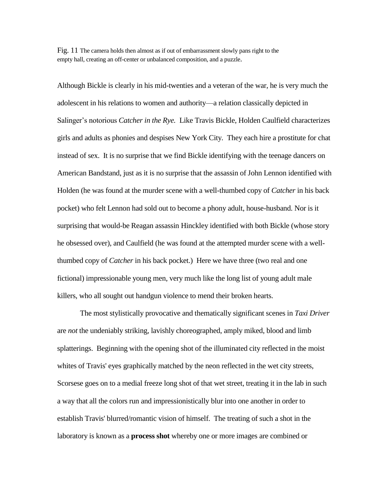Fig. 11 The camera holds then almost as if out of embarrassment slowly pans right to the empty hall, creating an off-center or unbalanced composition, and a puzzle.

Although Bickle is clearly in his mid-twenties and a veteran of the war, he is very much the adolescent in his relations to women and authority—a relation classically depicted in Salinger's notorious *Catcher in the Rye.* Like Travis Bickle, Holden Caulfield characterizes girls and adults as phonies and despises New York City. They each hire a prostitute for chat instead of sex. It is no surprise that we find Bickle identifying with the teenage dancers on American Bandstand, just as it is no surprise that the assassin of John Lennon identified with Holden (he was found at the murder scene with a well-thumbed copy of *Catcher* in his back pocket) who felt Lennon had sold out to become a phony adult, house-husband. Nor is it surprising that would-be Reagan assassin Hinckley identified with both Bickle (whose story he obsessed over), and Caulfield (he was found at the attempted murder scene with a wellthumbed copy of *Catcher* in his back pocket.) Here we have three (two real and one fictional) impressionable young men, very much like the long list of young adult male killers, who all sought out handgun violence to mend their broken hearts.

The most stylistically provocative and thematically significant scenes in *Taxi Driver*  are *not* the undeniably striking, lavishly choreographed, amply miked, blood and limb splatterings. Beginning with the opening shot of the illuminated city reflected in the moist whites of Travis' eyes graphically matched by the neon reflected in the wet city streets, Scorsese goes on to a medial freeze long shot of that wet street, treating it in the lab in such a way that all the colors run and impressionistically blur into one another in order to establish Travis' blurred/romantic vision of himself. The treating of such a shot in the laboratory is known as a **process shot** whereby one or more images are combined or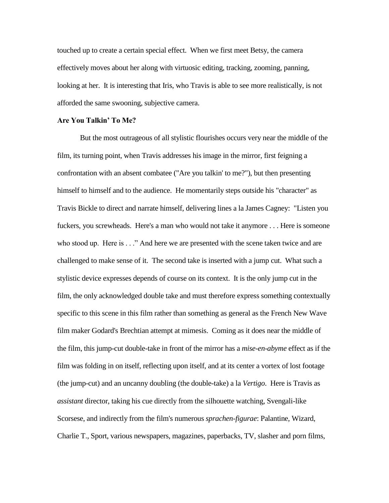touched up to create a certain special effect. When we first meet Betsy, the camera effectively moves about her along with virtuosic editing, tracking, zooming, panning, looking at her. It is interesting that Iris, who Travis is able to see more realistically, is not afforded the same swooning, subjective camera.

## **Are You Talkin' To Me?**

But the most outrageous of all stylistic flourishes occurs very near the middle of the film, its turning point, when Travis addresses his image in the mirror, first feigning a confrontation with an absent combatee ("Are you talkin' to me?"), but then presenting himself to himself and to the audience. He momentarily steps outside his "character" as Travis Bickle to direct and narrate himself, delivering lines a la James Cagney: "Listen you fuckers, you screwheads. Here's a man who would not take it anymore . . . Here is someone who stood up. Here is . . ." And here we are presented with the scene taken twice and are challenged to make sense of it. The second take is inserted with a jump cut. What such a stylistic device expresses depends of course on its context. It is the only jump cut in the film, the only acknowledged double take and must therefore express something contextually specific to this scene in this film rather than something as general as the French New Wave film maker Godard's Brechtian attempt at mimesis. Coming as it does near the middle of the film, this jump-cut double-take in front of the mirror has a *mise-en-abyme* effect as if the film was folding in on itself, reflecting upon itself, and at its center a vortex of lost footage (the jump-cut) and an uncanny doubling (the double-take) a la *Vertigo*. Here is Travis as *assistant* director, taking his cue directly from the silhouette watching, Svengali-like Scorsese, and indirectly from the film's numerous *sprachen-figurae*: Palantine, Wizard, Charlie T., Sport, various newspapers, magazines, paperbacks, TV, slasher and porn films,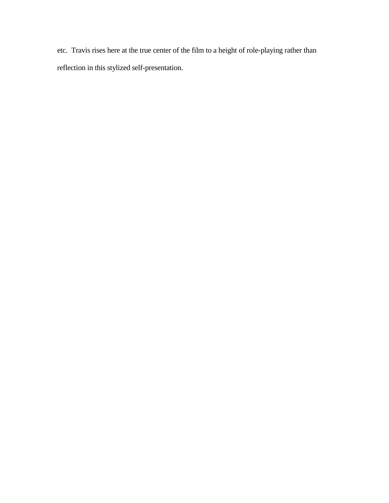etc. Travis rises here at the true center of the film to a height of role-playing rather than reflection in this stylized self-presentation.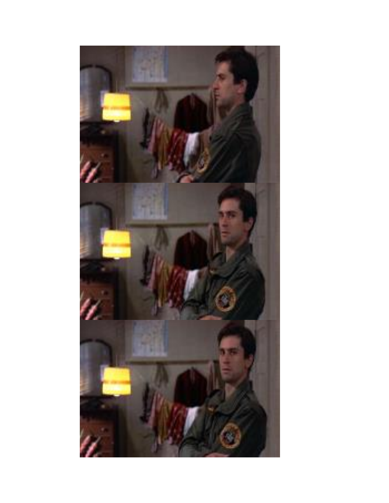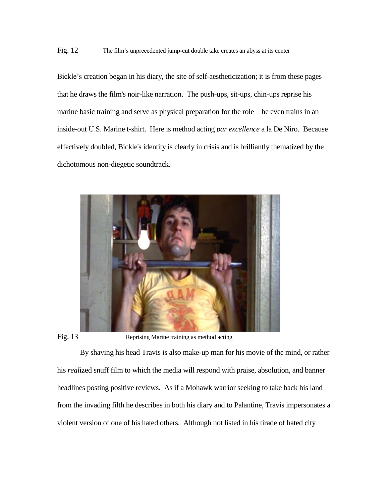Fig. 12 The film's unprecedented jump-cut double take creates an abyss at its center

Bickle's creation began in his diary, the site of self-aestheticization; it is from these pages that he draws the film's noir-like narration. The push-ups, sit-ups, chin-ups reprise his marine basic training and serve as physical preparation for the role—he even trains in an inside-out U.S. Marine t-shirt. Here is method acting *par excellence* a la De Niro. Because effectively doubled, Bickle's identity is clearly in crisis and is brilliantly thematized by the dichotomous non-diegetic soundtrack.



Fig. 13 Reprising Marine training as method acting

By shaving his head Travis is also make-up man for his movie of the mind, or rather his *real*ized snuff film to which the media will respond with praise, absolution, and banner headlines posting positive reviews. As if a Mohawk warrior seeking to take back his land from the invading filth he describes in both his diary and to Palantine, Travis impersonates a violent version of one of his hated others. Although not listed in his tirade of hated city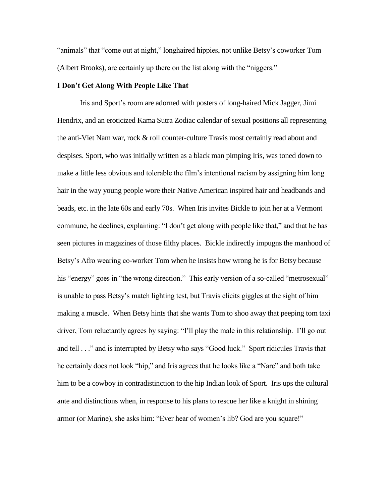"animals" that "come out at night," longhaired hippies, not unlike Betsy's coworker Tom (Albert Brooks), are certainly up there on the list along with the "niggers."

## **I Don't Get Along With People Like That**

Iris and Sport's room are adorned with posters of long-haired Mick Jagger, Jimi Hendrix, and an eroticized Kama Sutra Zodiac calendar of sexual positions all representing the anti-Viet Nam war, rock & roll counter-culture Travis most certainly read about and despises. Sport, who was initially written as a black man pimping Iris, was toned down to make a little less obvious and tolerable the film's intentional racism by assigning him long hair in the way young people wore their Native American inspired hair and headbands and beads, etc. in the late 60s and early 70s. When Iris invites Bickle to join her at a Vermont commune, he declines, explaining: "I don't get along with people like that," and that he has seen pictures in magazines of those filthy places. Bickle indirectly impugns the manhood of Betsy's Afro wearing co-worker Tom when he insists how wrong he is for Betsy because his "energy" goes in "the wrong direction." This early version of a so-called "metrosexual" is unable to pass Betsy's match lighting test, but Travis elicits giggles at the sight of him making a muscle. When Betsy hints that she wants Tom to shoo away that peeping tom taxi driver, Tom reluctantly agrees by saying: "I'll play the male in this relationship. I'll go out and tell . . ." and is interrupted by Betsy who says "Good luck." Sport ridicules Travis that he certainly does not look "hip," and Iris agrees that he looks like a "Narc" and both take him to be a cowboy in contradistinction to the hip Indian look of Sport. Iris ups the cultural ante and distinctions when, in response to his plans to rescue her like a knight in shining armor (or Marine), she asks him: "Ever hear of women's lib? God are you square!"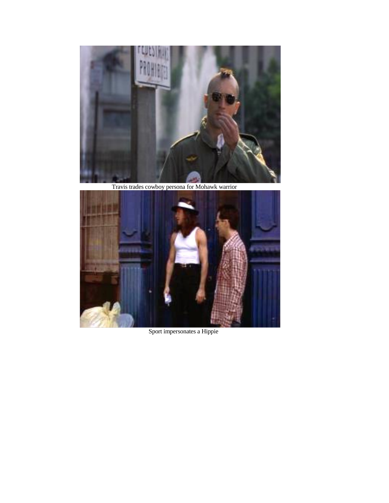

Travis trades cowboy persona for Mohawk warrior



Sport impersonates a Hippie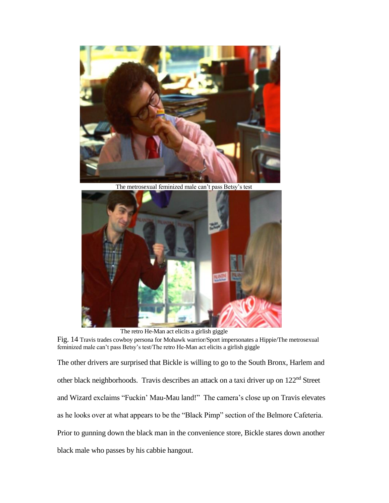

The metrosexual feminized male can't pass Betsy's test



The retro He-Man act elicits a girlish giggle

Fig. 14 Travis trades cowboy persona for Mohawk warrior/Sport impersonates a Hippie/The metrosexual feminized male can't pass Betsy's test/The retro He-Man act elicits a girlish giggle

The other drivers are surprised that Bickle is willing to go to the South Bronx, Harlem and other black neighborhoods. Travis describes an attack on a taxi driver up on 122nd Street and Wizard exclaims "Fuckin' Mau-Mau land!" The camera's close up on Travis elevates as he looks over at what appears to be the "Black Pimp" section of the Belmore Cafeteria. Prior to gunning down the black man in the convenience store, Bickle stares down another black male who passes by his cabbie hangout.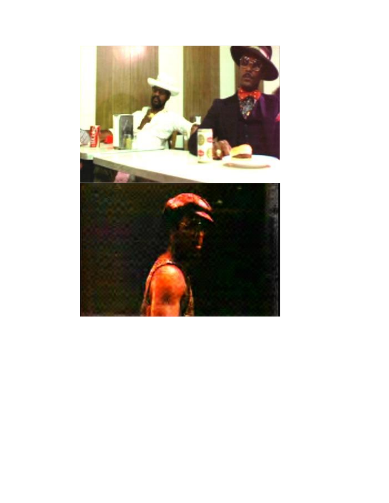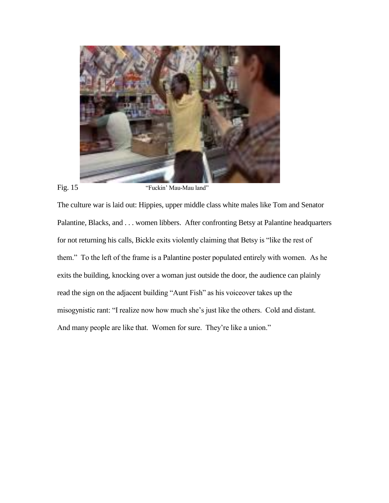

Fig. 15 "Fuckin' Mau-Mau land"

The culture war is laid out: Hippies, upper middle class white males like Tom and Senator Palantine, Blacks, and . . . women libbers. After confronting Betsy at Palantine headquarters for not returning his calls, Bickle exits violently claiming that Betsy is "like the rest of them." To the left of the frame is a Palantine poster populated entirely with women. As he exits the building, knocking over a woman just outside the door, the audience can plainly read the sign on the adjacent building "Aunt Fish" as his voiceover takes up the misogynistic rant: "I realize now how much she's just like the others. Cold and distant. And many people are like that. Women for sure. They're like a union."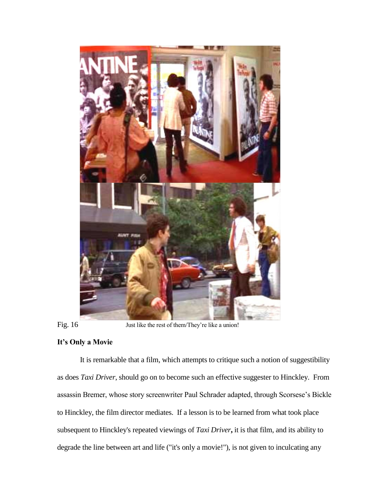

Fig. 16 Just like the rest of them/They're like a union!

# **It's Only a Movie**

It is remarkable that a film, which attempts to critique such a notion of suggestibility as does *Taxi Driver*, should go on to become such an effective suggester to Hinckley. From assassin Bremer, whose story screenwriter Paul Schrader adapted, through Scorsese's Bickle to Hinckley, the film director mediates. If a lesson is to be learned from what took place subsequent to Hinckley's repeated viewings of *Taxi Driver***,** it is that film, and its ability to degrade the line between art and life ("it's only a movie!"), is not given to inculcating any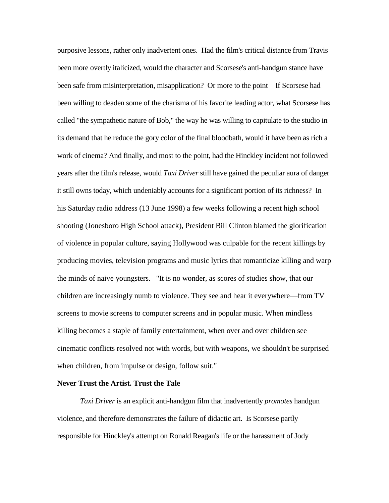purposive lessons, rather only inadvertent ones. Had the film's critical distance from Travis been more overtly italicized, would the character and Scorsese's anti-handgun stance have been safe from misinterpretation, misapplication? Or more to the point—If Scorsese had been willing to deaden some of the charisma of his favorite leading actor, what Scorsese has called "the sympathetic nature of Bob," the way he was willing to capitulate to the studio in its demand that he reduce the gory color of the final bloodbath, would it have been as rich a work of cinema? And finally, and most to the point, had the Hinckley incident not followed years after the film's release, would *Taxi Driver* still have gained the peculiar aura of danger it still owns today, which undeniably accounts for a significant portion of its richness? In his Saturday radio address (13 June 1998) a few weeks following a recent high school shooting (Jonesboro High School attack), President Bill Clinton blamed the glorification of violence in popular culture, saying Hollywood was culpable for the recent killings by producing movies, television programs and music lyrics that romanticize killing and warp the minds of naive youngsters. "It is no wonder, as scores of studies show, that our children are increasingly numb to violence. They see and hear it everywhere—from TV screens to movie screens to computer screens and in popular music. When mindless killing becomes a staple of family entertainment, when over and over children see cinematic conflicts resolved not with words, but with weapons, we shouldn't be surprised when children, from impulse or design, follow suit."

### **Never Trust the Artist. Trust the Tale**

*Taxi Driver* is an explicit anti-handgun film that inadvertently *promotes* handgun violence, and therefore demonstrates the failure of didactic art. Is Scorsese partly responsible for Hinckley's attempt on Ronald Reagan's life or the harassment of Jody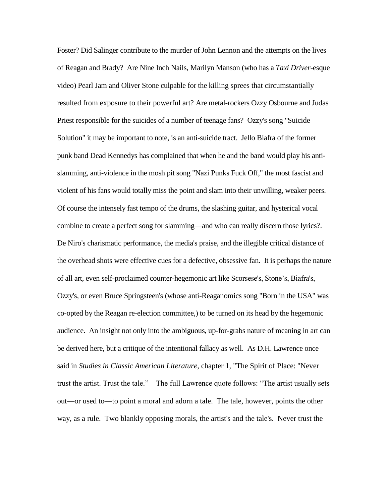Foster? Did Salinger contribute to the murder of John Lennon and the attempts on the lives of Reagan and Brady? Are Nine Inch Nails, Marilyn Manson (who has a *Taxi Driver*-esque video) Pearl Jam and Oliver Stone culpable for the killing sprees that circumstantially resulted from exposure to their powerful art? Are metal-rockers Ozzy Osbourne and Judas Priest responsible for the suicides of a number of teenage fans? Ozzy's song "Suicide Solution" it may be important to note, is an anti-suicide tract. Jello Biafra of the former punk band Dead Kennedys has complained that when he and the band would play his antislamming, anti-violence in the mosh pit song "Nazi Punks Fuck Off," the most fascist and violent of his fans would totally miss the point and slam into their unwilling, weaker peers. Of course the intensely fast tempo of the drums, the slashing guitar, and hysterical vocal combine to create a perfect song for slamming—and who can really discern those lyrics?. De Niro's charismatic performance, the media's praise, and the illegible critical distance of the overhead shots were effective cues for a defective, obsessive fan. It is perhaps the nature of all art, even self-proclaimed counter-hegemonic art like Scorsese's, Stone's, Biafra's, Ozzy's, or even Bruce Springsteen's (whose anti-Reaganomics song "Born in the USA" was co-opted by the Reagan re-election committee,) to be turned on its head by the hegemonic audience. An insight not only into the ambiguous, up-for-grabs nature of meaning in art can be derived here, but a critique of the intentional fallacy as well. As D.H. Lawrence once said in *Studies in Classic American Literature,* chapter 1, "The Spirit of Place: "Never trust the artist. Trust the tale." The full Lawrence quote follows: "The artist usually sets out—or used to—to point a moral and adorn a tale. The tale, however, points the other way, as a rule. Two blankly opposing morals, the artist's and the tale's. Never trust the